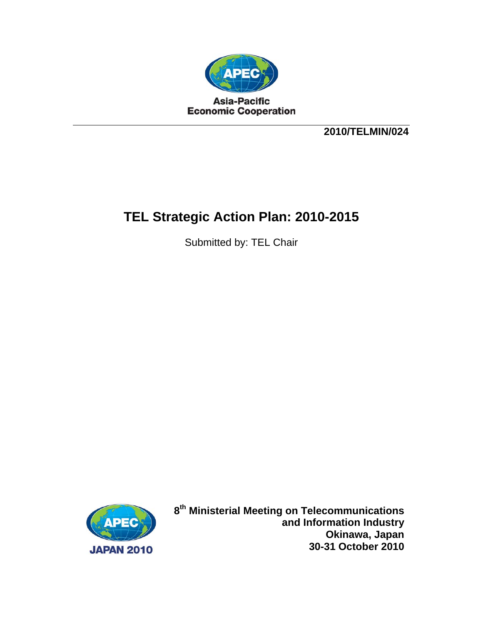

**2010/TELMIN/024** 

# **TEL Strategic Action Plan: 2010-2015**

Submitted by: TEL Chair



**8th Ministerial Meeting on Telecommunications and Information Industry Okinawa, Japan 30-31 October 2010**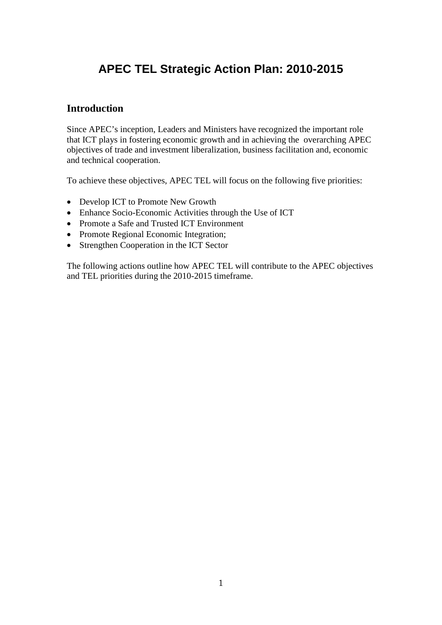# **APEC TEL Strategic Action Plan: 2010-2015**

### **Introduction**

Since APEC's inception, Leaders and Ministers have recognized the important role that ICT plays in fostering economic growth and in achieving the overarching APEC objectives of trade and investment liberalization, business facilitation and, economic and technical cooperation.

To achieve these objectives, APEC TEL will focus on the following five priorities:

- Develop ICT to Promote New Growth
- Enhance Socio-Economic Activities through the Use of ICT
- Promote a Safe and Trusted ICT Environment
- Promote Regional Economic Integration;
- Strengthen Cooperation in the ICT Sector

The following actions outline how APEC TEL will contribute to the APEC objectives and TEL priorities during the 2010-2015 timeframe.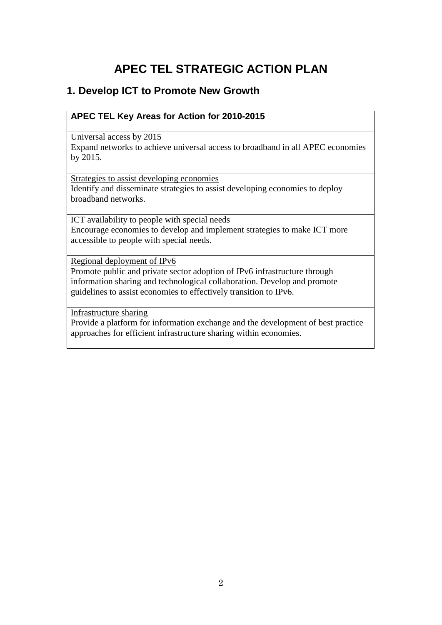# **APEC TEL STRATEGIC ACTION PLAN**

## **1. Develop ICT to Promote New Growth**

### **APEC TEL Key Areas for Action for 2010-2015**

Universal access by 2015

Expand networks to achieve universal access to broadband in all APEC economies by 2015.

Strategies to assist developing economies Identify and disseminate strategies to assist developing economies to deploy broadband networks.

ICT availability to people with special needs Encourage economies to develop and implement strategies to make ICT more accessible to people with special needs.

Regional deployment of IPv6

Promote public and private sector adoption of IPv6 infrastructure through information sharing and technological collaboration. Develop and promote guidelines to assist economies to effectively transition to IPv6.

Infrastructure sharing

Provide a platform for information exchange and the development of best practice approaches for efficient infrastructure sharing within economies.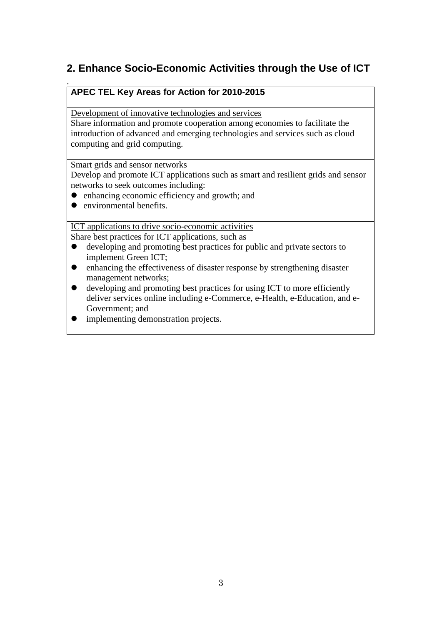## **2. Enhance Socio-Economic Activities through the Use of ICT**

### **APEC TEL Key Areas for Action for 2010-2015**

Development of innovative technologies and services

Share information and promote cooperation among economies to facilitate the introduction of advanced and emerging technologies and services such as cloud computing and grid computing.

Smart grids and sensor networks

Develop and promote ICT applications such as smart and resilient grids and sensor networks to seek outcomes including:

- enhancing economic efficiency and growth; and
- $\bullet$  environmental benefits.

.

ICT applications to drive socio-economic activities

Share best practices for ICT applications, such as

- developing and promoting best practices for public and private sectors to implement Green ICT;
- enhancing the effectiveness of disaster response by strengthening disaster management networks;
- developing and promoting best practices for using ICT to more efficiently deliver services online including e-Commerce, e-Health, e-Education, and e-Government; and
- implementing demonstration projects.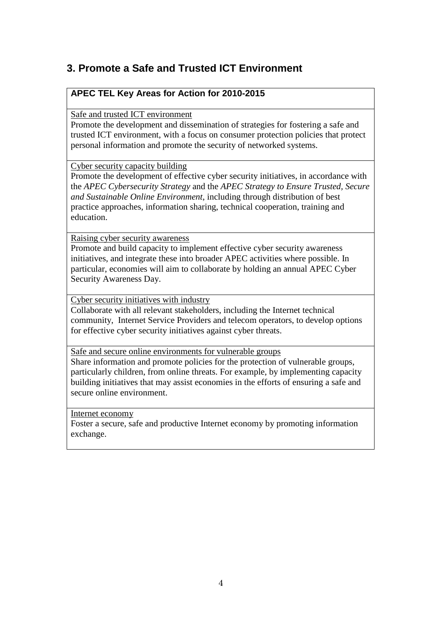## **3. Promote a Safe and Trusted ICT Environment**

### **APEC TEL Key Areas for Action for 2010-2015**

Safe and trusted ICT environment

Promote the development and dissemination of strategies for fostering a safe and trusted ICT environment, with a focus on consumer protection policies that protect personal information and promote the security of networked systems.

Cyber security capacity building

Promote the development of effective cyber security initiatives, in accordance with the *APEC Cybersecurity Strategy* and the *APEC Strategy to Ensure Trusted, Secure and Sustainable Online Environment*, including through distribution of best practice approaches, information sharing, technical cooperation, training and education.

Raising cyber security awareness

Promote and build capacity to implement effective cyber security awareness initiatives, and integrate these into broader APEC activities where possible. In particular, economies will aim to collaborate by holding an annual APEC Cyber Security Awareness Day.

Cyber security initiatives with industry

Collaborate with all relevant stakeholders, including the Internet technical community, Internet Service Providers and telecom operators, to develop options for effective cyber security initiatives against cyber threats.

Safe and secure online environments for vulnerable groups

Share information and promote policies for the protection of vulnerable groups, particularly children, from online threats. For example, by implementing capacity building initiatives that may assist economies in the efforts of ensuring a safe and secure online environment.

Internet economy

Foster a secure, safe and productive Internet economy by promoting information exchange.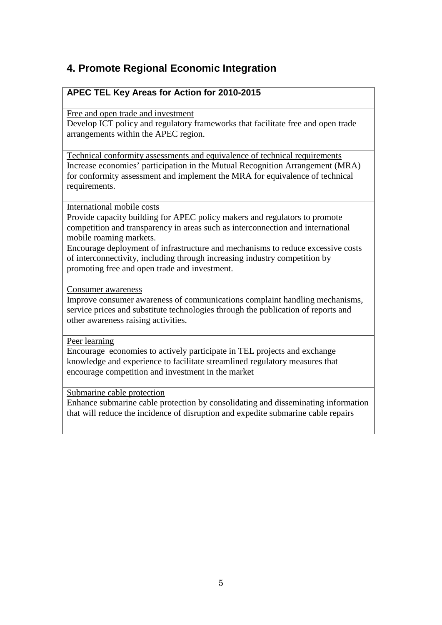## **4. Promote Regional Economic Integration**

### **APEC TEL Key Areas for Action for 2010-2015**

Free and open trade and investment

Develop ICT policy and regulatory frameworks that facilitate free and open trade arrangements within the APEC region.

Technical conformity assessments and equivalence of technical requirements Increase economies' participation in the Mutual Recognition Arrangement (MRA) for conformity assessment and implement the MRA for equivalence of technical requirements.

International mobile costs

Provide capacity building for APEC policy makers and regulators to promote competition and transparency in areas such as interconnection and international mobile roaming markets.

Encourage deployment of infrastructure and mechanisms to reduce excessive costs of interconnectivity, including through increasing industry competition by promoting free and open trade and investment.

Consumer awareness

Improve consumer awareness of communications complaint handling mechanisms, service prices and substitute technologies through the publication of reports and other awareness raising activities.

Peer learning

Encourage economies to actively participate in TEL projects and exchange knowledge and experience to facilitate streamlined regulatory measures that encourage competition and investment in the market

Submarine cable protection

Enhance submarine cable protection by consolidating and disseminating information that will reduce the incidence of disruption and expedite submarine cable repairs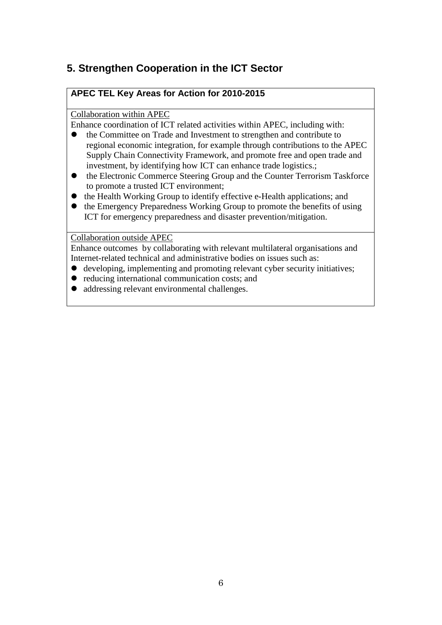## **5. Strengthen Cooperation in the ICT Sector**

### **APEC TEL Key Areas for Action for 2010-2015**

### Collaboration within APEC

Enhance coordination of ICT related activities within APEC, including with:

- the Committee on Trade and Investment to strengthen and contribute to regional economic integration, for example through contributions to the APEC Supply Chain Connectivity Framework, and promote free and open trade and investment, by identifying how ICT can enhance trade logistics.;
- the Electronic Commerce Steering Group and the Counter Terrorism Taskforce to promote a trusted ICT environment;
- the Health Working Group to identify effective e-Health applications; and
- the Emergency Preparedness Working Group to promote the benefits of using ICT for emergency preparedness and disaster prevention/mitigation.

Collaboration outside APEC

Enhance outcomes by collaborating with relevant multilateral organisations and Internet-related technical and administrative bodies on issues such as:

- developing, implementing and promoting relevant cyber security initiatives;
- reducing international communication costs; and
- addressing relevant environmental challenges.